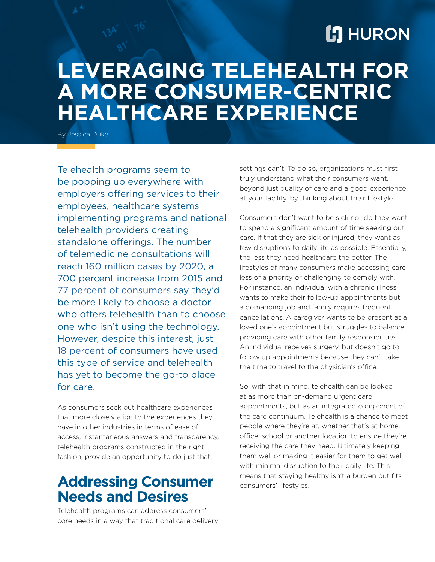# **[:] HURON**

# **LEVERAGING TELEHEALTH FOR A MORE CONSUMER-CENTRIC HEALTHCARE EXPERIENCE**

By Jessica Duke

Telehealth programs seem to be popping up everywhere with employers offering services to their employees, healthcare systems implementing programs and national telehealth providers creating standalone offerings. The number of telemedicine consultations will reach [160 million cases by 2020](http://www.ironshore.com/blog/telehealth-care-platform-presents-new-insurance-challenges#_ftn1), a 700 percent increase from 2015 and [77 percent of consumers](https://www.hhnmag.com/articles/8350-telehealth-adoption-to-double-by-2018) say they'd be more likely to choose a doctor who offers telehealth than to choose one who isn't using the technology. However, despite this interest, just [18 percent](https://mhealthintelligence.com/news/consumers-like-telehealth-but-still-prefer-face-to-face-healthcare) of consumers have used this type of service and telehealth has yet to become the go-to place for care.

As consumers seek out healthcare experiences that more closely align to the experiences they have in other industries in terms of ease of access, instantaneous answers and transparency, telehealth programs constructed in the right fashion, provide an opportunity to do just that.

## **Addressing Consumer Needs and Desires**

Telehealth programs can address consumers' core needs in a way that traditional care delivery settings can't. To do so, organizations must first truly understand what their consumers want, beyond just quality of care and a good experience at your facility, by thinking about their lifestyle.

Consumers don't want to be sick nor do they want to spend a significant amount of time seeking out care. If that they are sick or injured, they want as few disruptions to daily life as possible. Essentially, the less they need healthcare the better. The lifestyles of many consumers make accessing care less of a priority or challenging to comply with. For instance, an individual with a chronic illness wants to make their follow-up appointments but a demanding job and family requires frequent cancellations. A caregiver wants to be present at a loved one's appointment but struggles to balance providing care with other family responsibilities. An individual receives surgery, but doesn't go to follow up appointments because they can't take the time to travel to the physician's office.

So, with that in mind, telehealth can be looked at as more than on-demand urgent care appointments, but as an integrated component of the care continuum. Telehealth is a chance to meet people where they're at, whether that's at home, office, school or another location to ensure they're receiving the care they need. Ultimately keeping them well or making it easier for them to get well with minimal disruption to their daily life. This means that staying healthy isn't a burden but fits consumers' lifestyles.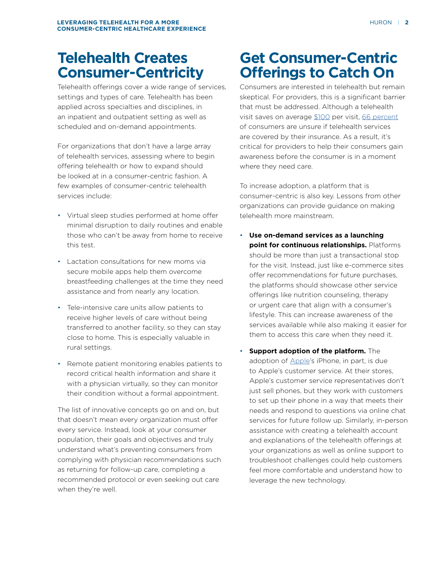## **Telehealth Creates Consumer-Centricity**

Telehealth offerings cover a wide range of services, settings and types of care. Telehealth has been applied across specialties and disciplines, in an inpatient and outpatient setting as well as scheduled and on-demand appointments.

For organizations that don't have a large array of telehealth services, assessing where to begin offering telehealth or how to expand should be looked at in a consumer-centric fashion. A few examples of consumer-centric telehealth services include:

- Virtual sleep studies performed at home offer minimal disruption to daily routines and enable those who can't be away from home to receive this test.
- Lactation consultations for new moms via secure mobile apps help them overcome breastfeeding challenges at the time they need assistance and from nearly any location.
- Tele-intensive care units allow patients to receive higher levels of care without being transferred to another facility, so they can stay close to home. This is especially valuable in rural settings.
- Remote patient monitoring enables patients to record critical health information and share it with a physician virtually, so they can monitor their condition without a formal appointment.

The list of innovative concepts go on and on, but that doesn't mean every organization must offer every service. Instead, look at your consumer population, their goals and objectives and truly understand what's preventing consumers from complying with physician recommendations such as returning for follow-up care, completing a recommended protocol or even seeking out care when they're well.

# **Get Consumer-Centric Offerings to Catch On**

Consumers are interested in telehealth but remain skeptical. For providers, this is a significant barrier that must be addressed. Although a telehealth visit saves on average [\\$100](https://mhealthintelligence.com/news/telehealth-may-save-money-but-its-not-yet-a-necessity-for-consumers) per visit, [66 percent](https://www.mobihealthnews.com/content/survey-consumers-remain-skeptical-telehealth) of consumers are unsure if telehealth services are covered by their insurance. As a result, it's critical for providers to help their consumers gain awareness before the consumer is in a moment where they need care.

To increase adoption, a platform that is consumer-centric is also key. Lessons from other organizations can provide guidance on making telehealth more mainstream.

- **Use on-demand services as a launching point for continuous relationships.** Platforms should be more than just a transactional stop for the visit. Instead, just like e-commerce sites offer recommendations for future purchases, the platforms should showcase other service offerings like nutrition counseling, therapy or urgent care that align with a consumer's lifestyle. This can increase awareness of the services available while also making it easier for them to access this care when they need it.
- **Support adoption of the platform.** The adoption of **Apple's** iPhone, in part, is due to Apple's customer service. At their stores, Apple's customer service representatives don't just sell phones, but they work with customers to set up their phone in a way that meets their needs and respond to questions via online chat services for future follow up. Similarly, in-person assistance with creating a telehealth account and explanations of the telehealth offerings at your organizations as well as online support to troubleshoot challenges could help customers feel more comfortable and understand how to leverage the new technology.